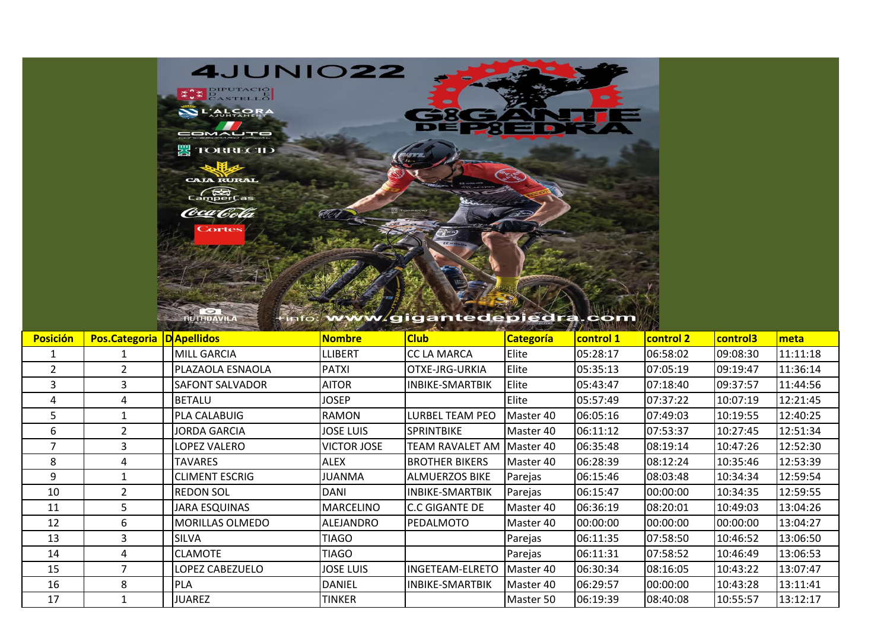

**BUTHDAVILA** 

## tinfo: www.gigantedepiedra.com

| <b>Posición</b> | Pos.Categoria   D Apellidos |                        | Nombre             | <b>Club</b>            | <b>Categoría</b> | control 1 | <b>control 2</b> | control3 | meta     |
|-----------------|-----------------------------|------------------------|--------------------|------------------------|------------------|-----------|------------------|----------|----------|
|                 |                             | MILL GARCIA            | <b>LLIBERT</b>     | <b>CC LA MARCA</b>     | Elite            | 05:28:17  | 06:58:02         | 09:08:30 | 11:11:18 |
| $\overline{2}$  | $\overline{2}$              | PLAZAOLA ESNAOLA       | <b>PATXI</b>       | OTXE-JRG-URKIA         | Elite            | 05:35:13  | 07:05:19         | 09:19:47 | 11:36:14 |
| 3               | 3                           | <b>SAFONT SALVADOR</b> | AITOR              | <b>INBIKE-SMARTBIK</b> | Elite            | 05:43:47  | 07:18:40         | 09:37:57 | 11:44:56 |
| 4               | 4                           | <b>BETALU</b>          | JOSEP              |                        | Elite            | 05:57:49  | 07:37:22         | 10:07:19 | 12:21:45 |
| 5.              |                             | PLA CALABUIG           | RAMON              | <b>LURBEL TEAM PEO</b> | Master 40        | 06:05:16  | 07:49:03         | 10:19:55 | 12:40:25 |
| 6               | $\overline{2}$              | <b>JORDA GARCIA</b>    | JOSE LUIS          | <b>SPRINTBIKE</b>      | Master 40        | 06:11:12  | 07:53:37         | 10:27:45 | 12:51:34 |
|                 | 3                           | <b>LOPEZ VALERO</b>    | <b>VICTOR JOSE</b> | TEAM RAVALET AM        | Master 40        | 06:35:48  | 08:19:14         | 10:47:26 | 12:52:30 |
| 8               | 4                           | <b>TAVARES</b>         | <b>ALEX</b>        | <b>BROTHER BIKERS</b>  | Master 40        | 06:28:39  | 08:12:24         | 10:35:46 | 12:53:39 |
| 9               |                             | <b>CLIMENT ESCRIG</b>  | JUANMA             | <b>ALMUERZOS BIKE</b>  | Parejas          | 06:15:46  | 08:03:48         | 10:34:34 | 12:59:54 |
| 10              |                             | <b>REDON SOL</b>       | <b>DANI</b>        | <b>INBIKE-SMARTBIK</b> | Parejas          | 06:15:47  | 00:00:00         | 10:34:35 | 12:59:55 |
| 11              | 5.                          | <b>JARA ESQUINAS</b>   | <b>MARCELINO</b>   | <b>IC.C GIGANTE DE</b> | Master 40        | 06:36:19  | 08:20:01         | 10:49:03 | 13:04:26 |
| 12              | 6                           | MORILLAS OLMEDO        | <b>ALEJANDRO</b>   | PEDALMOTO              | Master 40        | 00:00:00  | 00:00:00         | 00:00:00 | 13:04:27 |
| 13              | 3                           | <b>SILVA</b>           | <b>TIAGO</b>       |                        | Parejas          | 06:11:35  | 07:58:50         | 10:46:52 | 13:06:50 |
| 14              | 4                           | <b>CLAMOTE</b>         | TIAGO              |                        | Parejas          | 06:11:31  | 07:58:52         | 10:46:49 | 13:06:53 |
| 15              |                             | LOPEZ CABEZUELO        | <b>JOSE LUIS</b>   | <b>INGETEAM-ELRETO</b> | Master 40        | 06:30:34  | 08:16:05         | 10:43:22 | 13:07:47 |
| 16              | 8                           | <b>PLA</b>             | <b>DANIEL</b>      | <b>INBIKE-SMARTBIK</b> | Master 40        | 06:29:57  | 00:00:00         | 10:43:28 | 13:11:41 |
| 17              |                             | <b>JUAREZ</b>          | TINKER             |                        | Master 50        | 06:19:39  | 08:40:08         | 10:55:57 | 13:12:17 |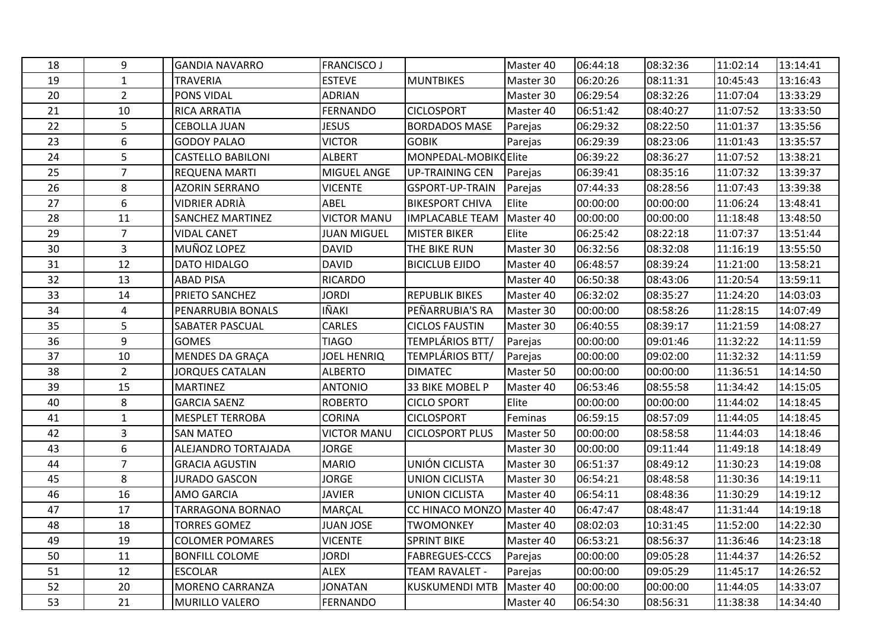| 18 | 9                | <b>GANDIA NAVARRO</b>    | <b>FRANCISCO J</b> |                           | Master 40 | 06:44:18 | 08:32:36 | 11:02:14 | 13:14:41 |
|----|------------------|--------------------------|--------------------|---------------------------|-----------|----------|----------|----------|----------|
| 19 | $\mathbf{1}$     | <b>TRAVERIA</b>          | <b>ESTEVE</b>      | <b>MUNTBIKES</b>          | Master 30 | 06:20:26 | 08:11:31 | 10:45:43 | 13:16:43 |
| 20 | $\overline{2}$   | PONS VIDAL               | <b>ADRIAN</b>      |                           | Master 30 | 06:29:54 | 08:32:26 | 11:07:04 | 13:33:29 |
| 21 | 10               | <b>RICA ARRATIA</b>      | <b>FERNANDO</b>    | <b>CICLOSPORT</b>         | Master 40 | 06:51:42 | 08:40:27 | 11:07:52 | 13:33:50 |
| 22 | 5                | <b>CEBOLLA JUAN</b>      | <b>JESUS</b>       | <b>BORDADOS MASE</b>      | Parejas   | 06:29:32 | 08:22:50 | 11:01:37 | 13:35:56 |
| 23 | 6                | <b>GODOY PALAO</b>       | <b>VICTOR</b>      | <b>GOBIK</b>              | Parejas   | 06:29:39 | 08:23:06 | 11:01:43 | 13:35:57 |
| 24 | 5                | <b>CASTELLO BABILONI</b> | <b>ALBERT</b>      | MONPEDAL-MOBIKOElite      |           | 06:39:22 | 08:36:27 | 11:07:52 | 13:38:21 |
| 25 | $\overline{7}$   | REQUENA MARTI            | <b>MIGUEL ANGE</b> | <b>UP-TRAINING CEN</b>    | Parejas   | 06:39:41 | 08:35:16 | 11:07:32 | 13:39:37 |
| 26 | 8                | <b>AZORIN SERRANO</b>    | <b>VICENTE</b>     | <b>GSPORT-UP-TRAIN</b>    | Parejas   | 07:44:33 | 08:28:56 | 11:07:43 | 13:39:38 |
| 27 | 6                | VIDRIER ADRIÀ            | ABEL               | <b>BIKESPORT CHIVA</b>    | Elite     | 00:00:00 | 00:00:00 | 11:06:24 | 13:48:41 |
| 28 | 11               | <b>SANCHEZ MARTINEZ</b>  | <b>VICTOR MANU</b> | <b>IMPLACABLE TEAM</b>    | Master 40 | 00:00:00 | 00:00:00 | 11:18:48 | 13:48:50 |
| 29 | $\overline{7}$   | <b>VIDAL CANET</b>       | <b>JUAN MIGUEL</b> | <b>MISTER BIKER</b>       | Elite     | 06:25:42 | 08:22:18 | 11:07:37 | 13:51:44 |
| 30 | 3                | MUÑOZ LOPEZ              | <b>DAVID</b>       | THE BIKE RUN              | Master 30 | 06:32:56 | 08:32:08 | 11:16:19 | 13:55:50 |
| 31 | 12               | DATO HIDALGO             | <b>DAVID</b>       | <b>BICICLUB EJIDO</b>     | Master 40 | 06:48:57 | 08:39:24 | 11:21:00 | 13:58:21 |
| 32 | 13               | <b>ABAD PISA</b>         | <b>RICARDO</b>     |                           | Master 40 | 06:50:38 | 08:43:06 | 11:20:54 | 13:59:11 |
| 33 | 14               | PRIETO SANCHEZ           | <b>JORDI</b>       | <b>REPUBLIK BIKES</b>     | Master 40 | 06:32:02 | 08:35:27 | 11:24:20 | 14:03:03 |
| 34 | 4                | PENARRUBIA BONALS        | IÑAKI              | PEÑARRUBIA'S RA           | Master 30 | 00:00:00 | 08:58:26 | 11:28:15 | 14:07:49 |
| 35 | 5                | SABATER PASCUAL          | CARLES             | <b>CICLOS FAUSTIN</b>     | Master 30 | 06:40:55 | 08:39:17 | 11:21:59 | 14:08:27 |
| 36 | 9                | <b>GOMES</b>             | <b>TIAGO</b>       | TEMPLÁRIOS BTT/           | Parejas   | 00:00:00 | 09:01:46 | 11:32:22 | 14:11:59 |
| 37 | 10               | MENDES DA GRAÇA          | JOEL HENRIQ        | TEMPLÁRIOS BTT/           | Parejas   | 00:00:00 | 09:02:00 | 11:32:32 | 14:11:59 |
| 38 | $\overline{2}$   | <b>JORQUES CATALAN</b>   | <b>ALBERTO</b>     | <b>DIMATEC</b>            | Master 50 | 00:00:00 | 00:00:00 | 11:36:51 | 14:14:50 |
| 39 | 15               | <b>MARTINEZ</b>          | <b>ANTONIO</b>     | 33 BIKE MOBEL P           | Master 40 | 06:53:46 | 08:55:58 | 11:34:42 | 14:15:05 |
| 40 | 8                | <b>GARCIA SAENZ</b>      | <b>ROBERTO</b>     | <b>CICLO SPORT</b>        | Elite     | 00:00:00 | 00:00:00 | 11:44:02 | 14:18:45 |
| 41 | $\mathbf{1}$     | <b>MESPLET TERROBA</b>   | <b>CORINA</b>      | <b>CICLOSPORT</b>         | Feminas   | 06:59:15 | 08:57:09 | 11:44:05 | 14:18:45 |
| 42 | 3                | <b>SAN MATEO</b>         | <b>VICTOR MANU</b> | <b>CICLOSPORT PLUS</b>    | Master 50 | 00:00:00 | 08:58:58 | 11:44:03 | 14:18:46 |
| 43 | $\boldsymbol{6}$ | ALEJANDRO TORTAJADA      | <b>JORGE</b>       |                           | Master 30 | 00:00:00 | 09:11:44 | 11:49:18 | 14:18:49 |
| 44 | $\overline{7}$   | <b>GRACIA AGUSTIN</b>    | <b>MARIO</b>       | UNIÓN CICLISTA            | Master 30 | 06:51:37 | 08:49:12 | 11:30:23 | 14:19:08 |
| 45 | 8                | <b>JURADO GASCON</b>     | <b>JORGE</b>       | <b>UNION CICLISTA</b>     | Master 30 | 06:54:21 | 08:48:58 | 11:30:36 | 14:19:11 |
| 46 | 16               | AMO GARCIA               | <b>JAVIER</b>      | <b>UNION CICLISTA</b>     | Master 40 | 06:54:11 | 08:48:36 | 11:30:29 | 14:19:12 |
| 47 | 17               | <b>TARRAGONA BORNAO</b>  | MARÇAL             | CC HINACO MONZO Master 40 |           | 06:47:47 | 08:48:47 | 11:31:44 | 14:19:18 |
| 48 | 18               | <b>TORRES GOMEZ</b>      | <b>JUAN JOSE</b>   | <b>TWOMONKEY</b>          | Master 40 | 08:02:03 | 10:31:45 | 11:52:00 | 14:22:30 |
| 49 | 19               | <b>COLOMER POMARES</b>   | <b>VICENTE</b>     | <b>SPRINT BIKE</b>        | Master 40 | 06:53:21 | 08:56:37 | 11:36:46 | 14:23:18 |
| 50 | 11               | <b>BONFILL COLOME</b>    | JORDI              | <b>FABREGUES-CCCS</b>     | Parejas   | 00:00:00 | 09:05:28 | 11:44:37 | 14:26:52 |
| 51 | 12               | <b>ESCOLAR</b>           | <b>ALEX</b>        | <b>TEAM RAVALET -</b>     | Parejas   | 00:00:00 | 09:05:29 | 11:45:17 | 14:26:52 |
| 52 | 20               | <b>MORENO CARRANZA</b>   | <b>JONATAN</b>     | <b>KUSKUMENDI MTB</b>     | Master 40 | 00:00:00 | 00:00:00 | 11:44:05 | 14:33:07 |
| 53 | 21               | MURILLO VALERO           | FERNANDO           |                           | Master 40 | 06:54:30 | 08:56:31 | 11:38:38 | 14:34:40 |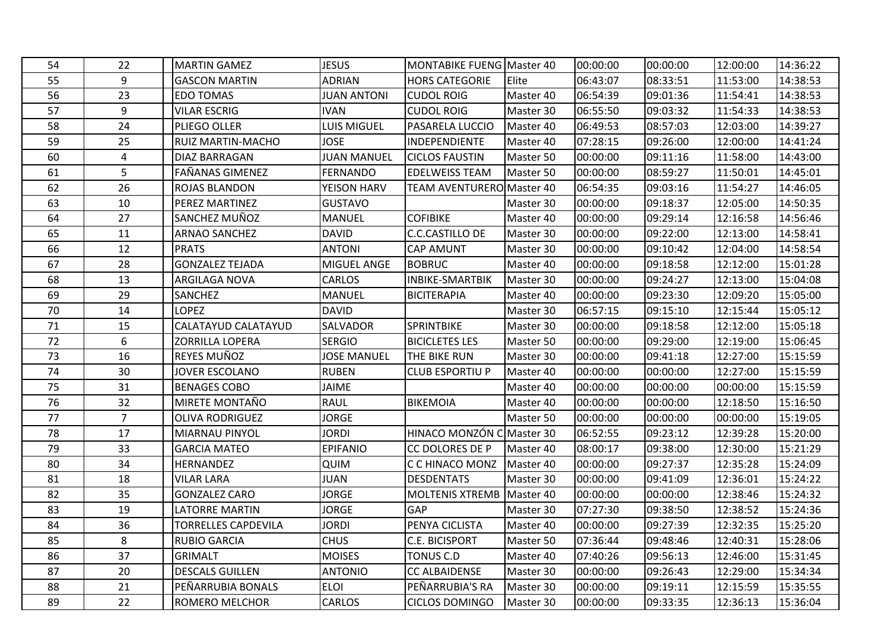| 54 | 22             | <b>MARTIN GAMEZ</b>        | <b>JESUS</b>       | <b>MONTABIKE FUENG Master 40</b> |           | 00:00:00 | 00:00:00 | 12:00:00 | 14:36:22 |
|----|----------------|----------------------------|--------------------|----------------------------------|-----------|----------|----------|----------|----------|
| 55 | 9              | <b>GASCON MARTIN</b>       | <b>ADRIAN</b>      | <b>HORS CATEGORIE</b>            | Elite     | 06:43:07 | 08:33:51 | 11:53:00 | 14:38:53 |
| 56 | 23             | <b>EDO TOMAS</b>           | <b>JUAN ANTONI</b> | <b>CUDOL ROIG</b>                | Master 40 | 06:54:39 | 09:01:36 | 11:54:41 | 14:38:53 |
| 57 | 9              | <b>VILAR ESCRIG</b>        | <b>IVAN</b>        | <b>CUDOL ROIG</b>                | Master 30 | 06:55:50 | 09:03:32 | 11:54:33 | 14:38:53 |
| 58 | 24             | PLIEGO OLLER               | LUIS MIGUEL        | PASARELA LUCCIO                  | Master 40 | 06:49:53 | 08:57:03 | 12:03:00 | 14:39:27 |
| 59 | 25             | RUIZ MARTIN-MACHO          | <b>JOSE</b>        | <b>INDEPENDIENTE</b>             | Master 40 | 07:28:15 | 09:26:00 | 12:00:00 | 14:41:24 |
| 60 | 4              | DIAZ BARRAGAN              | <b>JUAN MANUEL</b> | <b>CICLOS FAUSTIN</b>            | Master 50 | 00:00:00 | 09:11:16 | 11:58:00 | 14:43:00 |
| 61 | 5              | <b>FAÑANAS GIMENEZ</b>     | <b>FERNANDO</b>    | <b>EDELWEISS TEAM</b>            | Master 50 | 00:00:00 | 08:59:27 | 11:50:01 | 14:45:01 |
| 62 | 26             | <b>ROJAS BLANDON</b>       | YEISON HARV        | <b>TEAM AVENTURERO Master 40</b> |           | 06:54:35 | 09:03:16 | 11:54:27 | 14:46:05 |
| 63 | 10             | PEREZ MARTINEZ             | <b>GUSTAVO</b>     |                                  | Master 30 | 00:00:00 | 09:18:37 | 12:05:00 | 14:50:35 |
| 64 | 27             | SANCHEZ MUÑOZ              | <b>MANUEL</b>      | <b>COFIBIKE</b>                  | Master 40 | 00:00:00 | 09:29:14 | 12:16:58 | 14:56:46 |
| 65 | 11             | <b>ARNAO SANCHEZ</b>       | <b>DAVID</b>       | C.C.CASTILLO DE                  | Master 30 | 00:00:00 | 09:22:00 | 12:13:00 | 14:58:41 |
| 66 | 12             | <b>PRATS</b>               | <b>ANTONI</b>      | <b>CAP AMUNT</b>                 | Master 30 | 00:00:00 | 09:10:42 | 12:04:00 | 14:58:54 |
| 67 | 28             | <b>GONZALEZ TEJADA</b>     | MIGUEL ANGE        | <b>BOBRUC</b>                    | Master 40 | 00:00:00 | 09:18:58 | 12:12:00 | 15:01:28 |
| 68 | 13             | ARGILAGA NOVA              | <b>CARLOS</b>      | <b>INBIKE-SMARTBIK</b>           | Master 30 | 00:00:00 | 09:24:27 | 12:13:00 | 15:04:08 |
| 69 | 29             | SANCHEZ                    | <b>MANUEL</b>      | <b>BICITERAPIA</b>               | Master 40 | 00:00:00 | 09:23:30 | 12:09:20 | 15:05:00 |
| 70 | 14             | <b>LOPEZ</b>               | <b>DAVID</b>       |                                  | Master 30 | 06:57:15 | 09:15:10 | 12:15:44 | 15:05:12 |
| 71 | 15             | CALATAYUD CALATAYUD        | SALVADOR           | <b>SPRINTBIKE</b>                | Master 30 | 00:00:00 | 09:18:58 | 12:12:00 | 15:05:18 |
| 72 | 6              | <b>ZORRILLA LOPERA</b>     | <b>SERGIO</b>      | <b>BICICLETES LES</b>            | Master 50 | 00:00:00 | 09:29:00 | 12:19:00 | 15:06:45 |
| 73 | 16             | REYES MUÑOZ                | <b>JOSE MANUEL</b> | THE BIKE RUN                     | Master 30 | 00:00:00 | 09:41:18 | 12:27:00 | 15:15:59 |
| 74 | 30             | <b>JOVER ESCOLANO</b>      | <b>RUBEN</b>       | <b>CLUB ESPORTIU P</b>           | Master 40 | 00:00:00 | 00:00:00 | 12:27:00 | 15:15:59 |
| 75 | 31             | <b>BENAGES COBO</b>        | JAIME              |                                  | Master 40 | 00:00:00 | 00:00:00 | 00:00:00 | 15:15:59 |
| 76 | 32             | <b>MIRETE MONTAÑO</b>      | <b>RAUL</b>        | BIKEMOIA                         | Master 40 | 00:00:00 | 00:00:00 | 12:18:50 | 15:16:50 |
| 77 | $\overline{7}$ | <b>OLIVA RODRIGUEZ</b>     | <b>JORGE</b>       |                                  | Master 50 | 00:00:00 | 00:00:00 | 00:00:00 | 15:19:05 |
| 78 | 17             | MIARNAU PINYOL             | <b>JORDI</b>       | HINACO MONZÓN C Master 30        |           | 06:52:55 | 09:23:12 | 12:39:28 | 15:20:00 |
| 79 | 33             | <b>GARCIA MATEO</b>        | <b>EPIFANIO</b>    | CC DOLORES DE P                  | Master 40 | 08:00:17 | 09:38:00 | 12:30:00 | 15:21:29 |
| 80 | 34             | HERNANDEZ                  | QUIM               | C C HINACO MONZ                  | Master 40 | 00:00:00 | 09:27:37 | 12:35:28 | 15:24:09 |
| 81 | 18             | <b>VILAR LARA</b>          | JUAN               | <b>DESDENTATS</b>                | Master 30 | 00:00:00 | 09:41:09 | 12:36:01 | 15:24:22 |
| 82 | 35             | <b>GONZALEZ CARO</b>       | JORGE              | <b>MOLTENIS XTREMB</b>           | Master 40 | 00:00:00 | 00:00:00 | 12:38:46 | 15:24:32 |
| 83 | 19             | <b>LATORRE MARTIN</b>      | <b>JORGE</b>       | <b>GAP</b>                       | Master 30 | 07:27:30 | 09:38:50 | 12:38:52 | 15:24:36 |
| 84 | 36             | <b>TORRELLES CAPDEVILA</b> | <b>JORDI</b>       | PENYA CICLISTA                   | Master 40 | 00:00:00 | 09:27:39 | 12:32:35 | 15:25:20 |
| 85 | 8              | <b>RUBIO GARCIA</b>        | <b>CHUS</b>        | <b>C.E. BICISPORT</b>            | Master 50 | 07:36:44 | 09:48:46 | 12:40:31 | 15:28:06 |
| 86 | 37             | <b>GRIMALT</b>             | <b>MOISES</b>      | TONUS C.D                        | Master 40 | 07:40:26 | 09:56:13 | 12:46:00 | 15:31:45 |
| 87 | 20             | <b>DESCALS GUILLEN</b>     | <b>ANTONIO</b>     | <b>CC ALBAIDENSE</b>             | Master 30 | 00:00:00 | 09:26:43 | 12:29:00 | 15:34:34 |
| 88 | 21             | PEÑARRUBIA BONALS          | <b>ELOI</b>        | PEÑARRUBIA'S RA                  | Master 30 | 00:00:00 | 09:19:11 | 12:15:59 | 15:35:55 |
| 89 | 22             | ROMERO MELCHOR             | <b>CARLOS</b>      | <b>CICLOS DOMINGO</b>            | Master 30 | 00:00:00 | 09:33:35 | 12:36:13 | 15:36:04 |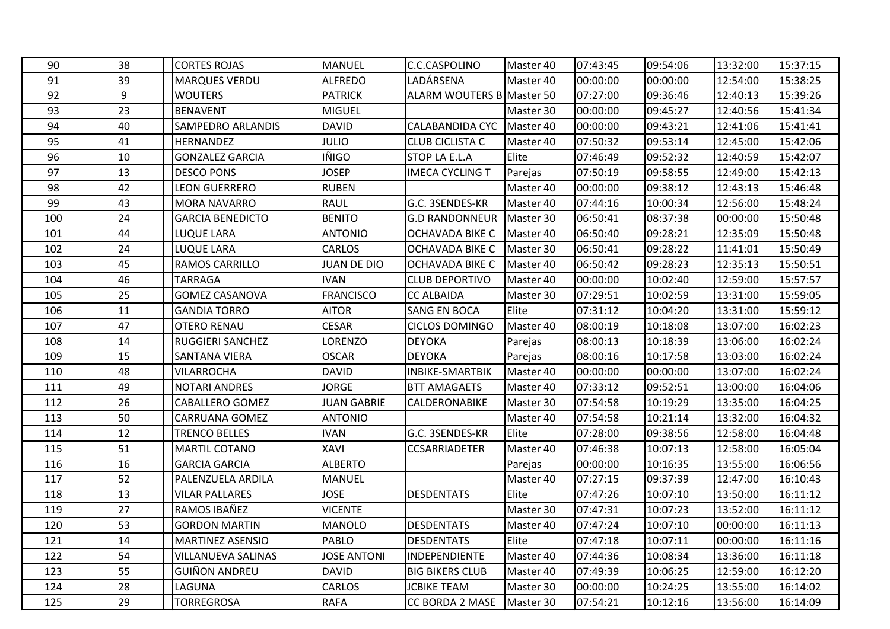| 90  | 38 | <b>CORTES ROJAS</b>       | <b>MANUEL</b>      | C.C.CASPOLINO                    | Master 40 | 07:43:45 | 09:54:06 | 13:32:00 | 15:37:15 |
|-----|----|---------------------------|--------------------|----------------------------------|-----------|----------|----------|----------|----------|
| 91  | 39 | <b>MARQUES VERDU</b>      | <b>ALFREDO</b>     | LADÁRSENA                        | Master 40 | 00:00:00 | 00:00:00 | 12:54:00 | 15:38:25 |
| 92  | 9  | <b>WOUTERS</b>            | <b>PATRICK</b>     | <b>ALARM WOUTERS B Master 50</b> |           | 07:27:00 | 09:36:46 | 12:40:13 | 15:39:26 |
| 93  | 23 | <b>BENAVENT</b>           | <b>MIGUEL</b>      |                                  | Master 30 | 00:00:00 | 09:45:27 | 12:40:56 | 15:41:34 |
| 94  | 40 | <b>SAMPEDRO ARLANDIS</b>  | <b>DAVID</b>       | <b>CALABANDIDA CYC</b>           | Master 40 | 00:00:00 | 09:43:21 | 12:41:06 | 15:41:41 |
| 95  | 41 | HERNANDEZ                 | <b>JULIO</b>       | <b>CLUB CICLISTA C</b>           | Master 40 | 07:50:32 | 09:53:14 | 12:45:00 | 15:42:06 |
| 96  | 10 | <b>GONZALEZ GARCIA</b>    | <b>IÑIGO</b>       | <b>STOP LA E.L.A</b>             | Elite     | 07:46:49 | 09:52:32 | 12:40:59 | 15:42:07 |
| 97  | 13 | <b>DESCO PONS</b>         | <b>JOSEP</b>       | <b>IMECA CYCLING T</b>           | Parejas   | 07:50:19 | 09:58:55 | 12:49:00 | 15:42:13 |
| 98  | 42 | <b>LEON GUERRERO</b>      | <b>RUBEN</b>       |                                  | Master 40 | 00:00:00 | 09:38:12 | 12:43:13 | 15:46:48 |
| 99  | 43 | <b>MORA NAVARRO</b>       | <b>RAUL</b>        | G.C. 3SENDES-KR                  | Master 40 | 07:44:16 | 10:00:34 | 12:56:00 | 15:48:24 |
| 100 | 24 | <b>GARCIA BENEDICTO</b>   | <b>BENITO</b>      | <b>G.D RANDONNEUR</b>            | Master 30 | 06:50:41 | 08:37:38 | 00:00:00 | 15:50:48 |
| 101 | 44 | <b>LUQUE LARA</b>         | <b>ANTONIO</b>     | <b>OCHAVADA BIKE C</b>           | Master 40 | 06:50:40 | 09:28:21 | 12:35:09 | 15:50:48 |
| 102 | 24 | <b>LUQUE LARA</b>         | <b>CARLOS</b>      | OCHAVADA BIKE C                  | Master 30 | 06:50:41 | 09:28:22 | 11:41:01 | 15:50:49 |
| 103 | 45 | <b>RAMOS CARRILLO</b>     | <b>JUAN DE DIO</b> | <b>OCHAVADA BIKE C</b>           | Master 40 | 06:50:42 | 09:28:23 | 12:35:13 | 15:50:51 |
| 104 | 46 | <b>TARRAGA</b>            | <b>IVAN</b>        | <b>CLUB DEPORTIVO</b>            | Master 40 | 00:00:00 | 10:02:40 | 12:59:00 | 15:57:57 |
| 105 | 25 | <b>GOMEZ CASANOVA</b>     | <b>FRANCISCO</b>   | <b>CC ALBAIDA</b>                | Master 30 | 07:29:51 | 10:02:59 | 13:31:00 | 15:59:05 |
| 106 | 11 | <b>GANDIA TORRO</b>       | <b>AITOR</b>       | <b>SANG EN BOCA</b>              | Elite     | 07:31:12 | 10:04:20 | 13:31:00 | 15:59:12 |
| 107 | 47 | <b>OTERO RENAU</b>        | <b>CESAR</b>       | <b>CICLOS DOMINGO</b>            | Master 40 | 08:00:19 | 10:18:08 | 13:07:00 | 16:02:23 |
| 108 | 14 | <b>RUGGIERI SANCHEZ</b>   | LORENZO            | <b>DEYOKA</b>                    | Parejas   | 08:00:13 | 10:18:39 | 13:06:00 | 16:02:24 |
| 109 | 15 | <b>SANTANA VIERA</b>      | <b>OSCAR</b>       | <b>DEYOKA</b>                    | Parejas   | 08:00:16 | 10:17:58 | 13:03:00 | 16:02:24 |
| 110 | 48 | <b>VILARROCHA</b>         | <b>DAVID</b>       | <b>INBIKE-SMARTBIK</b>           | Master 40 | 00:00:00 | 00:00:00 | 13:07:00 | 16:02:24 |
| 111 | 49 | <b>NOTARI ANDRES</b>      | <b>JORGE</b>       | <b>BTT AMAGAETS</b>              | Master 40 | 07:33:12 | 09:52:51 | 13:00:00 | 16:04:06 |
| 112 | 26 | <b>CABALLERO GOMEZ</b>    | <b>JUAN GABRIE</b> | CALDERONABIKE                    | Master 30 | 07:54:58 | 10:19:29 | 13:35:00 | 16:04:25 |
| 113 | 50 | <b>CARRUANA GOMEZ</b>     | <b>ANTONIO</b>     |                                  | Master 40 | 07:54:58 | 10:21:14 | 13:32:00 | 16:04:32 |
| 114 | 12 | <b>TRENCO BELLES</b>      | <b>IVAN</b>        | G.C. 3SENDES-KR                  | Elite     | 07:28:00 | 09:38:56 | 12:58:00 | 16:04:48 |
| 115 | 51 | <b>MARTIL COTANO</b>      | XAVI               | <b>CCSARRIADETER</b>             | Master 40 | 07:46:38 | 10:07:13 | 12:58:00 | 16:05:04 |
| 116 | 16 | <b>GARCIA GARCIA</b>      | <b>ALBERTO</b>     |                                  | Parejas   | 00:00:00 | 10:16:35 | 13:55:00 | 16:06:56 |
| 117 | 52 | PALENZUELA ARDILA         | <b>MANUEL</b>      |                                  | Master 40 | 07:27:15 | 09:37:39 | 12:47:00 | 16:10:43 |
| 118 | 13 | <b>VILAR PALLARES</b>     | <b>JOSE</b>        | <b>DESDENTATS</b>                | Elite     | 07:47:26 | 10:07:10 | 13:50:00 | 16:11:12 |
| 119 | 27 | RAMOS IBAÑEZ              | <b>VICENTE</b>     |                                  | Master 30 | 07:47:31 | 10:07:23 | 13:52:00 | 16:11:12 |
| 120 | 53 | <b>GORDON MARTIN</b>      | <b>MANOLO</b>      | <b>DESDENTATS</b>                | Master 40 | 07:47:24 | 10:07:10 | 00:00:00 | 16:11:13 |
| 121 | 14 | <b>MARTINEZ ASENSIO</b>   | PABLO              | <b>DESDENTATS</b>                | Elite     | 07:47:18 | 10:07:11 | 00:00:00 | 16:11:16 |
| 122 | 54 | <b>VILLANUEVA SALINAS</b> | <b>JOSE ANTONI</b> | INDEPENDIENTE                    | Master 40 | 07:44:36 | 10:08:34 | 13:36:00 | 16:11:18 |
| 123 | 55 | <b>GUIÑON ANDREU</b>      | <b>DAVID</b>       | <b>BIG BIKERS CLUB</b>           | Master 40 | 07:49:39 | 10:06:25 | 12:59:00 | 16:12:20 |
| 124 | 28 | LAGUNA                    | CARLOS             | <b>JCBIKE TEAM</b>               | Master 30 | 00:00:00 | 10:24:25 | 13:55:00 | 16:14:02 |
| 125 | 29 | TORREGROSA                | RAFA               | CC BORDA 2 MASE                  | Master 30 | 07:54:21 | 10:12:16 | 13:56:00 | 16:14:09 |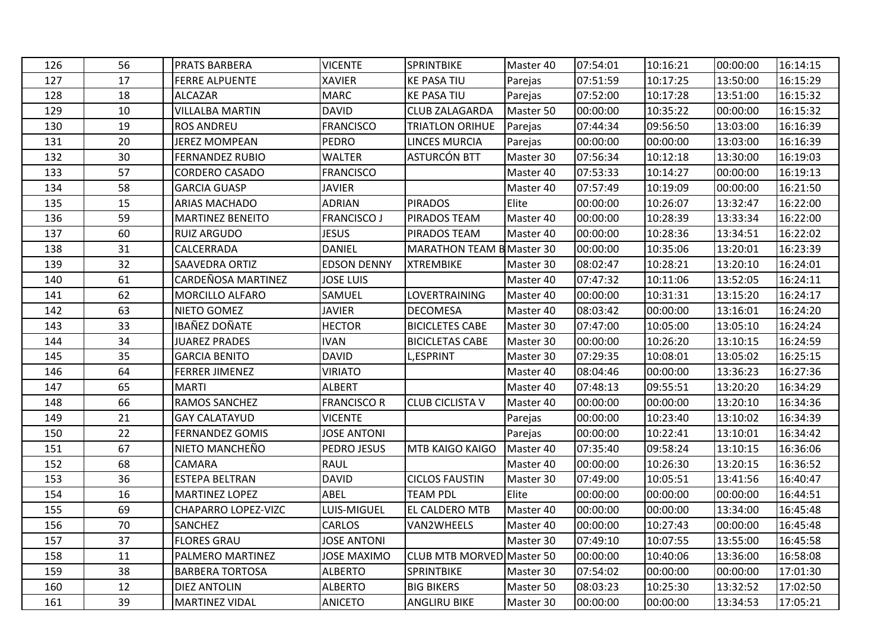| 126 | 56 | <b>PRATS BARBERA</b>    | <b>VICENTE</b>     | <b>SPRINTBIKE</b>                | Master 40 | 07:54:01 | 10:16:21 | 00:00:00 | 16:14:15 |
|-----|----|-------------------------|--------------------|----------------------------------|-----------|----------|----------|----------|----------|
| 127 | 17 | <b>FERRE ALPUENTE</b>   | <b>XAVIER</b>      | <b>KE PASA TIU</b>               | Parejas   | 07:51:59 | 10:17:25 | 13:50:00 | 16:15:29 |
| 128 | 18 | <b>ALCAZAR</b>          | <b>MARC</b>        | <b>KE PASA TIU</b>               | Parejas   | 07:52:00 | 10:17:28 | 13:51:00 | 16:15:32 |
| 129 | 10 | <b>VILLALBA MARTIN</b>  | <b>DAVID</b>       | <b>CLUB ZALAGARDA</b>            | Master 50 | 00:00:00 | 10:35:22 | 00:00:00 | 16:15:32 |
| 130 | 19 | <b>ROS ANDREU</b>       | <b>FRANCISCO</b>   | TRIATLON ORIHUE                  | Parejas   | 07:44:34 | 09:56:50 | 13:03:00 | 16:16:39 |
| 131 | 20 | <b>JEREZ MOMPEAN</b>    | <b>PEDRO</b>       | <b>LINCES MURCIA</b>             | Parejas   | 00:00:00 | 00:00:00 | 13:03:00 | 16:16:39 |
| 132 | 30 | <b>FERNANDEZ RUBIO</b>  | <b>WALTER</b>      | <b>ASTURCÓN BTT</b>              | Master 30 | 07:56:34 | 10:12:18 | 13:30:00 | 16:19:03 |
| 133 | 57 | <b>CORDERO CASADO</b>   | <b>FRANCISCO</b>   |                                  | Master 40 | 07:53:33 | 10:14:27 | 00:00:00 | 16:19:13 |
| 134 | 58 | <b>GARCIA GUASP</b>     | <b>JAVIER</b>      |                                  | Master 40 | 07:57:49 | 10:19:09 | 00:00:00 | 16:21:50 |
| 135 | 15 | ARIAS MACHADO           | <b>ADRIAN</b>      | <b>PIRADOS</b>                   | Elite     | 00:00:00 | 10:26:07 | 13:32:47 | 16:22:00 |
| 136 | 59 | <b>MARTINEZ BENEITO</b> | <b>FRANCISCO J</b> | PIRADOS TEAM                     | Master 40 | 00:00:00 | 10:28:39 | 13:33:34 | 16:22:00 |
| 137 | 60 | <b>RUIZ ARGUDO</b>      | <b>JESUS</b>       | PIRADOS TEAM                     | Master 40 | 00:00:00 | 10:28:36 | 13:34:51 | 16:22:02 |
| 138 | 31 | <b>CALCERRADA</b>       | <b>DANIEL</b>      | <b>MARATHON TEAM B Master 30</b> |           | 00:00:00 | 10:35:06 | 13:20:01 | 16:23:39 |
| 139 | 32 | <b>SAAVEDRA ORTIZ</b>   | <b>EDSON DENNY</b> | <b>XTREMBIKE</b>                 | Master 30 | 08:02:47 | 10:28:21 | 13:20:10 | 16:24:01 |
| 140 | 61 | CARDEÑOSA MARTINEZ      | <b>JOSE LUIS</b>   |                                  | Master 40 | 07:47:32 | 10:11:06 | 13:52:05 | 16:24:11 |
| 141 | 62 | <b>MORCILLO ALFARO</b>  | SAMUEL             | <b>LOVERTRAINING</b>             | Master 40 | 00:00:00 | 10:31:31 | 13:15:20 | 16:24:17 |
| 142 | 63 | NIETO GOMEZ             | <b>JAVIER</b>      | <b>DECOMESA</b>                  | Master 40 | 08:03:42 | 00:00:00 | 13:16:01 | 16:24:20 |
| 143 | 33 | IBAÑEZ DOÑATE           | <b>HECTOR</b>      | <b>BICICLETES CABE</b>           | Master 30 | 07:47:00 | 10:05:00 | 13:05:10 | 16:24:24 |
| 144 | 34 | <b>JUAREZ PRADES</b>    | <b>IVAN</b>        | <b>BICICLETAS CABE</b>           | Master 30 | 00:00:00 | 10:26:20 | 13:10:15 | 16:24:59 |
| 145 | 35 | <b>GARCIA BENITO</b>    | <b>DAVID</b>       | <b>L,ESPRINT</b>                 | Master 30 | 07:29:35 | 10:08:01 | 13:05:02 | 16:25:15 |
| 146 | 64 | <b>FERRER JIMENEZ</b>   | <b>VIRIATO</b>     |                                  | Master 40 | 08:04:46 | 00:00:00 | 13:36:23 | 16:27:36 |
| 147 | 65 | <b>MARTI</b>            | <b>ALBERT</b>      |                                  | Master 40 | 07:48:13 | 09:55:51 | 13:20:20 | 16:34:29 |
| 148 | 66 | <b>RAMOS SANCHEZ</b>    | <b>FRANCISCO R</b> | <b>CLUB CICLISTA V</b>           | Master 40 | 00:00:00 | 00:00:00 | 13:20:10 | 16:34:36 |
| 149 | 21 | <b>GAY CALATAYUD</b>    | <b>VICENTE</b>     |                                  | Parejas   | 00:00:00 | 10:23:40 | 13:10:02 | 16:34:39 |
| 150 | 22 | <b>FERNANDEZ GOMIS</b>  | <b>JOSE ANTONI</b> |                                  | Parejas   | 00:00:00 | 10:22:41 | 13:10:01 | 16:34:42 |
| 151 | 67 | NIETO MANCHEÑO          | PEDRO JESUS        | <b>MTB KAIGO KAIGO</b>           | Master 40 | 07:35:40 | 09:58:24 | 13:10:15 | 16:36:06 |
| 152 | 68 | <b>CAMARA</b>           | <b>RAUL</b>        |                                  | Master 40 | 00:00:00 | 10:26:30 | 13:20:15 | 16:36:52 |
| 153 | 36 | <b>ESTEPA BELTRAN</b>   | <b>DAVID</b>       | <b>CICLOS FAUSTIN</b>            | Master 30 | 07:49:00 | 10:05:51 | 13:41:56 | 16:40:47 |
| 154 | 16 | <b>MARTINEZ LOPEZ</b>   | ABEL               | TEAM PDL                         | Elite     | 00:00:00 | 00:00:00 | 00:00:00 | 16:44:51 |
| 155 | 69 | CHAPARRO LOPEZ-VIZC     | LUIS-MIGUEL        | <b>EL CALDERO MTB</b>            | Master 40 | 00:00:00 | 00:00:00 | 13:34:00 | 16:45:48 |
| 156 | 70 | <b>SANCHEZ</b>          | <b>CARLOS</b>      | VAN2WHEELS                       | Master 40 | 00:00:00 | 10:27:43 | 00:00:00 | 16:45:48 |
| 157 | 37 | <b>FLORES GRAU</b>      | <b>JOSE ANTONI</b> |                                  | Master 30 | 07:49:10 | 10:07:55 | 13:55:00 | 16:45:58 |
| 158 | 11 | <b>PALMERO MARTINEZ</b> | <b>JOSE MAXIMO</b> | CLUB MTB MORVED Master 50        |           | 00:00:00 | 10:40:06 | 13:36:00 | 16:58:08 |
| 159 | 38 | <b>BARBERA TORTOSA</b>  | <b>ALBERTO</b>     | <b>SPRINTBIKE</b>                | Master 30 | 07:54:02 | 00:00:00 | 00:00:00 | 17:01:30 |
| 160 | 12 | <b>DIEZ ANTOLIN</b>     | <b>ALBERTO</b>     | <b>BIG BIKERS</b>                | Master 50 | 08:03:23 | 10:25:30 | 13:32:52 | 17:02:50 |
| 161 | 39 | <b>MARTINEZ VIDAL</b>   | ANICETO            | <b>ANGLIRU BIKE</b>              | Master 30 | 00:00:00 | 00:00:00 | 13:34:53 | 17:05:21 |